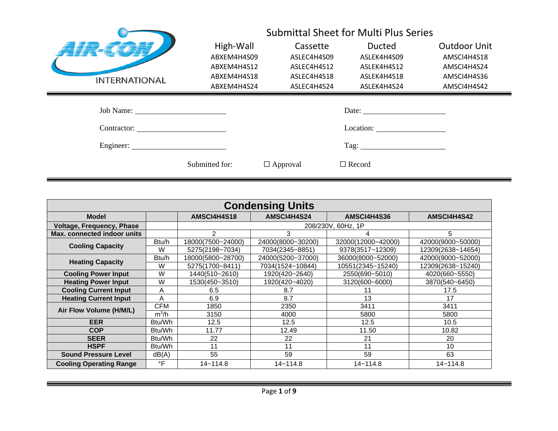|                      | <b>Submittal Sheet for Multi Plus Series</b> |                 |                       |                     |
|----------------------|----------------------------------------------|-----------------|-----------------------|---------------------|
|                      | High-Wall                                    | Cassette        | <b>Ducted</b>         | <b>Outdoor Unit</b> |
|                      | ABXEM4H4S09                                  | ASLEC4H4S09     | ASLEK4H4S09           | AMSCI4H4S18         |
|                      | ABXEM4H4S12                                  | ASLEC4H4S12     | ASLEK4H4S12           | AMSCI4H4S24         |
| <b>INTERNATIONAL</b> | ABXEM4H4S18                                  | ASLEC4H4S18     | ASLEK4H4S18           | AMSCI4H4S36         |
|                      | ABXEM4H4S24                                  | ASLEC4H4S24     | ASLEK4H4S24           | AMSCI4H4S42         |
| Job Name:            |                                              |                 | Date: $\qquad \qquad$ |                     |
| Contractor:          |                                              |                 | Location:             |                     |
| Engineer:            |                                              |                 |                       |                     |
|                      | Submitted for:                               | $\Box$ Approval | $\Box$ Record         |                     |

| <b>Condensing Units</b>          |                     |                                                    |                                           |                    |                   |  |  |  |
|----------------------------------|---------------------|----------------------------------------------------|-------------------------------------------|--------------------|-------------------|--|--|--|
| <b>Model</b>                     |                     | AMSCI4H4S18                                        | AMSCI4H4S24<br>AMSCI4H4S36<br>AMSCI4H4S42 |                    |                   |  |  |  |
| <b>Voltage, Frequency, Phase</b> |                     |                                                    |                                           | 208/230V, 60Hz, 1P |                   |  |  |  |
| Max. connected indoor units      |                     | $\mathcal{P}$                                      | 3                                         |                    | 5.                |  |  |  |
| <b>Cooling Capacity</b>          | Btu/h               | 18000(7500~24000)                                  | 24000(8000~30200)                         | 32000(12000~42000) | 42000(9000~50000) |  |  |  |
|                                  | W                   | 5275(2198~7034)                                    | 7034(2345~8851)                           | 9378(3517~12309)   | 12309(2638~14654) |  |  |  |
| <b>Heating Capacity</b>          | Btu/h               | 18000(5800~28700)                                  | 24000(5200~37000)                         | 36000(8000~52000)  | 42000(9000~52000) |  |  |  |
|                                  | W                   | 5275(1700~8411)                                    | 7034(1524~10844)                          | 10551(2345~15240)  | 12309(2638~15240) |  |  |  |
| <b>Cooling Power Input</b>       | W                   | 1440(510~2610)                                     | 1920(420~2640)                            | 2550(690~5010)     | 4020(660~5550)    |  |  |  |
| <b>Heating Power Input</b>       | W                   | 1530(450~3510)<br>1920(420~4020)<br>3120(600~6000) |                                           |                    | 3870(540~6450)    |  |  |  |
| <b>Cooling Current Input</b>     | Α                   | 6.5                                                | 8.7                                       |                    | 17.5              |  |  |  |
| <b>Heating Current Input</b>     | A                   | 6.9                                                | 8.7                                       | 13                 | 17                |  |  |  |
| Air Flow Volume (H/M/L)          | <b>CFM</b>          | 1850                                               | 2350                                      | 3411               | 3411              |  |  |  |
|                                  | $m^3/h$             | 3150                                               | 4000                                      | 5800               | 5800              |  |  |  |
| <b>EER</b>                       | B <sub>tu</sub> /Wh | 12.5                                               | 12.5                                      | 12.5               | 10.5              |  |  |  |
| <b>COP</b>                       | Btu/Wh              | 11.77                                              | 12.49                                     | 11.50              | 10.82             |  |  |  |
| <b>SEER</b>                      | Btu/Wh              | 22<br>22<br>21                                     |                                           |                    | 20                |  |  |  |
| <b>HSPF</b>                      | Btu/Wh              | 11<br>10<br>11<br>11                               |                                           |                    |                   |  |  |  |
| <b>Sound Pressure Level</b>      | dB(A)               | 55                                                 | 59                                        | 59                 | 63                |  |  |  |
| <b>Cooling Operating Range</b>   | $\circ$ F           | $14 - 114.8$                                       | $14 - 114.8$                              | $14 - 114.8$       | $14 - 114.8$      |  |  |  |

<u> 1980 - Jan Barat, mark a shekara tsara tsara tsara tsara tsara tsara tsara tsara tsara tsara tsara tsara tsar</u>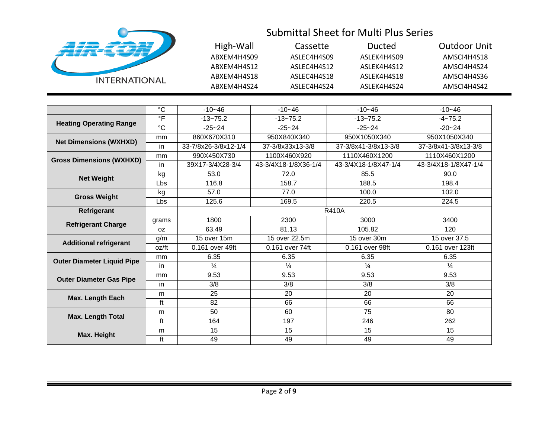| <b>INTERNATIONAL</b> |
|----------------------|

| High-Wall   | Cassette    | Ducted       | Outdoor Unit |
|-------------|-------------|--------------|--------------|
| ABXEM4H4S09 | ASLEC4H4S09 | ASLEK4H4S09  | AMSCI4H4S18  |
| ARXFM4H4S12 | ASLEC4H4S12 | ASI FK4H4S12 | AMSCI4H4S24  |
| ABXEM4H4S18 | ASLEC4H4S18 | ASLEK4H4S18  | AMSCI4H4S36  |
| ABXEM4H4S24 | ASLEC4H4S24 | ASLEK4H4S24  | AMSCI4H4S42  |

|                                   | $^{\circ}C$    | $-10 - 46$           | $-10 - 46$           | $-10 - 46$           | $-10 - 46$           |
|-----------------------------------|----------------|----------------------|----------------------|----------------------|----------------------|
|                                   | $\circ$ F      | $-13 - 75.2$         | $-13 - 75.2$         | $-13 - 75.2$         | $-4 - 75.2$          |
| <b>Heating Operating Range</b>    | $\overline{C}$ | $-25 - 24$           | $-25 - 24$           | $-25 - 24$           | $-20 - 24$           |
| <b>Net Dimensions (WXHXD)</b>     | mm             | 860X670X310          | 950X840X340          | 950X1050X340         | 950X1050X340         |
|                                   | in             | 33-7/8x26-3/8x12-1/4 | 37-3/8x33x13-3/8     | 37-3/8x41-3/8x13-3/8 | 37-3/8x41-3/8x13-3/8 |
| <b>Gross Dimensions (WXHXD)</b>   | mm             | 990X450X730          | 1100X460X920         | 1110X460X1200        | 1110X460X1200        |
|                                   | in             | 39X17-3/4X28-3/4     | 43-3/4X18-1/8X36-1/4 | 43-3/4X18-1/8X47-1/4 | 43-3/4X18-1/8X47-1/4 |
| <b>Net Weight</b>                 | kg             | 53.0                 | 72.0                 | 85.5                 | 90.0                 |
|                                   | Lbs            | 116.8                | 158.7                | 188.5                | 198.4                |
| <b>Gross Weight</b>               | kg             | 57.0                 | 77.0                 | 100.0                | 102.0                |
|                                   | Lbs            | 125.6                | 169.5                | 220.5                | 224.5                |
| Refrigerant                       |                |                      |                      | <b>R410A</b>         |                      |
|                                   | grams          | 1800                 | 2300                 | 3000                 | 3400                 |
| <b>Refrigerant Charge</b>         | 0Z             | 63.49                | 81.13                | 105.82               | 120                  |
| <b>Additional refrigerant</b>     | g/m            | 15 over 15m          | 15 over 22.5m        | 15 over 30m          | 15 over 37.5         |
|                                   | oz/ft          | 0.161 over 49ft      | 0.161 over 74ft      | 0.161 over 98ft      | 0.161 over 123ft     |
| <b>Outer Diameter Liquid Pipe</b> | mm             | 6.35                 | 6.35                 | 6.35                 | 6.35                 |
|                                   | in             | $\frac{1}{4}$        | $\frac{1}{4}$        | $\frac{1}{4}$        | $\frac{1}{4}$        |
| <b>Outer Diameter Gas Pipe</b>    | <sub>mm</sub>  | 9.53                 | 9.53                 | 9.53                 | 9.53                 |
|                                   | in             | 3/8                  | 3/8                  | 3/8                  | 3/8                  |
| <b>Max. Length Each</b>           | m              | 25                   | 20                   | 20                   | 20                   |
|                                   | ft             | 82                   | 66                   | 66                   | 66                   |
| <b>Max. Length Total</b>          | m              | 50                   | 60                   | 75                   | 80                   |
|                                   | ft             | 164                  | 197                  | 246                  | 262                  |
| Max. Height                       | m              | 15                   | 15                   | 15                   | 15                   |
|                                   | ft             | 49                   | 49                   | 49                   | 49                   |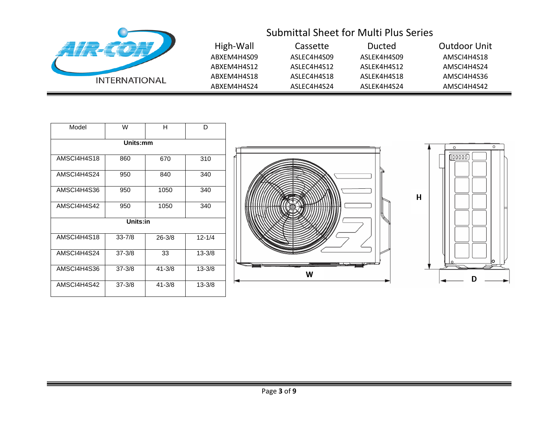| <b>INTERNATIONAL</b> |
|----------------------|

| High-Wall   | Cassette    | Ducted      | Outdoor Unit |
|-------------|-------------|-------------|--------------|
| ABXEM4H4S09 | ASLEC4H4S09 | ASLEK4H4S09 | AMSCI4H4S18  |
| ABXEM4H4S12 | ASLEC4H4S12 | ASLEK4H4S12 | AMSCI4H4S24  |
| ABXEM4H4S18 | ASLEC4H4S18 | ASLEK4H4S18 | AMSCI4H4S36  |
| ABXEM4H4S24 | ASLEC4H4S24 | ASLEK4H4S24 | AMSCI4H4S42  |

| Model<br>W  |            | н          | D          |  |  |
|-------------|------------|------------|------------|--|--|
|             | Units:mm   |            |            |  |  |
| AMSCI4H4S18 | 860        | 670        | 310        |  |  |
| AMSCI4H4S24 | 950        | 840        | 340        |  |  |
| AMSCI4H4S36 | 950        | 1050       | 340        |  |  |
| AMSCI4H4S42 | 950        | 1050       | 340        |  |  |
| Units:in    |            |            |            |  |  |
| AMSCI4H4S18 | $33 - 7/8$ | $26 - 3/8$ | $12 - 1/4$ |  |  |
| AMSCI4H4S24 | $37 - 3/8$ | 33         | $13 - 3/8$ |  |  |
| AMSCI4H4S36 | $37 - 3/8$ | $41 - 3/8$ | $13 - 3/8$ |  |  |
| AMSCI4H4S42 | $37 - 3/8$ | $41 - 3/8$ | $13 - 3/8$ |  |  |



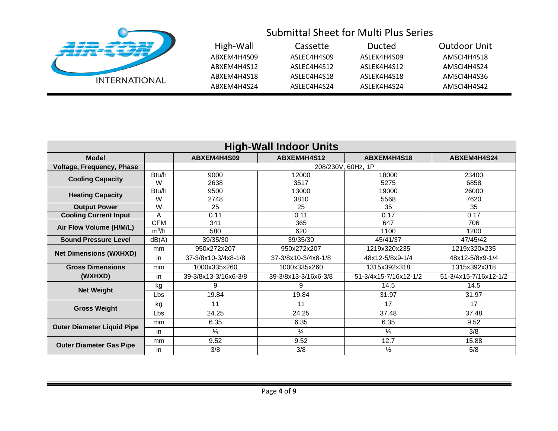

|    | High-Wall   | Cassette    | Ducted      | Outdoor Unit |
|----|-------------|-------------|-------------|--------------|
|    | ABXEM4H4S09 | ASLEC4H4S09 | ASLEK4H4S09 | AMSCI4H4S18  |
|    | ABXEM4H4S12 | ASLEC4H4S12 | ASLEK4H4S12 | AMSCI4H4S24  |
| AL | ABXEM4H4S18 | ASLEC4H4S18 | ASLEK4H4S18 | AMSCI4H4S36  |
|    | ABXEM4H4S24 | ASLEC4H4S24 | ASLEK4H4S24 | AMSCI4H4S42  |

| <b>High-Wall Indoor Units</b>     |                   |                      |                                           |                       |                       |  |  |
|-----------------------------------|-------------------|----------------------|-------------------------------------------|-----------------------|-----------------------|--|--|
| <b>Model</b>                      |                   | ABXEM4H4S09          | ABXEM4H4S12<br>ABXEM4H4S18<br>ABXEM4H4S24 |                       |                       |  |  |
| Voltage, Frequency, Phase         |                   |                      | 208/230V, 60Hz, 1P                        |                       |                       |  |  |
| <b>Cooling Capacity</b>           | Btu/h             | 9000                 | 12000                                     | 18000                 | 23400                 |  |  |
|                                   | W                 | 2638                 | 3517                                      | 5275                  | 6858                  |  |  |
| <b>Heating Capacity</b>           | Btu/h             | 9500                 | 13000                                     | 19000                 | 26000                 |  |  |
|                                   | W<br>2748<br>3810 | 5568                 | 7620                                      |                       |                       |  |  |
| <b>Output Power</b>               | W                 | 25                   | 25                                        | 35                    | 35                    |  |  |
| <b>Cooling Current Input</b>      | A                 | 0.11                 | 0.11                                      | 0.17                  | 0.17                  |  |  |
| Air Flow Volume (H/M/L)           | <b>CFM</b>        | 341                  | 365                                       | 647                   | 706                   |  |  |
|                                   | $m^3/h$           | 580                  | 620                                       | 1100                  | 1200                  |  |  |
| <b>Sound Pressure Level</b>       | dB(A)             | 39/35/30             | 39/35/30                                  | 45/41/37              | 47/45/42              |  |  |
| <b>Net Dimensions (WXHXD)</b>     | mm                | 950x272x207          | 950x272x207                               | 1219x320x235          | 1219x320x235          |  |  |
|                                   | in                | 37-3/8x10-3/4x8-1/8  | 37-3/8x10-3/4x8-1/8                       | 48x12-5/8x9-1/4       | 48x12-5/8x9-1/4       |  |  |
| <b>Gross Dimensions</b>           | mm                | 1000x335x260         | 1000x335x260                              | 1315x392x318          | 1315x392x318          |  |  |
| (WXHXD)                           | in                | 39-3/8x13-3/16x6-3/8 | 39-3/8x13-3/16x6-3/8                      | 51-3/4x15-7/16x12-1/2 | 51-3/4x15-7/16x12-1/2 |  |  |
| <b>Net Weight</b>                 | kg                | 9                    | 9                                         | 14.5                  | 14.5                  |  |  |
|                                   | Lbs               | 19.84                | 19.84                                     | 31.97                 | 31.97                 |  |  |
| <b>Gross Weight</b>               | kg                | 11                   | 11                                        | 17                    | 17                    |  |  |
|                                   | Lbs               | 24.25                | 24.25                                     | 37.48                 | 37.48                 |  |  |
| <b>Outer Diameter Liquid Pipe</b> | mm                | 6.35                 | 6.35                                      | 6.35                  | 9.52                  |  |  |
|                                   | in                | $\frac{1}{4}$        | $\frac{1}{4}$                             | $\frac{1}{4}$         | 3/8                   |  |  |
| <b>Outer Diameter Gas Pipe</b>    | mm                | 9.52                 | 9.52                                      | 12.7                  | 15.88                 |  |  |
|                                   | in                | 3/8                  | 3/8                                       | $\frac{1}{2}$         | 5/8                   |  |  |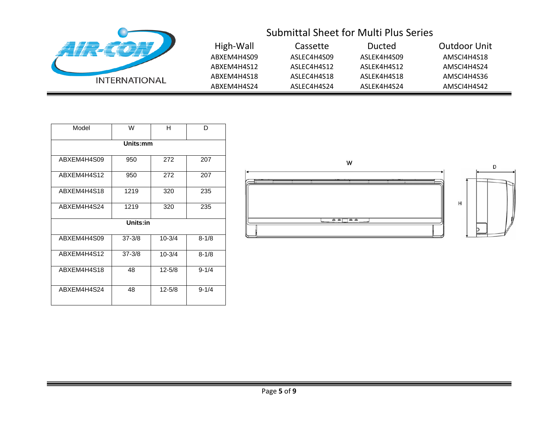| <b>INTERNATIONAL</b> |
|----------------------|

| High-Wall   | Cassette    | Ducted      | Outdoor Unit |
|-------------|-------------|-------------|--------------|
| ABXEM4H4S09 | ASLEC4H4S09 | ASLEK4H4S09 | AMSCI4H4S18  |
| ABXFM4H4S12 | ASLEC4H4S12 | ASLEK4H4S12 | AMSCI4H4S24  |
| ABXEM4H4S18 | ASLEC4H4S18 | ASLEK4H4S18 | AMSCI4H4S36  |
| ABXEM4H4S24 | ASLEC4H4S24 | ASLEK4H4S24 | AMSCI4H4S42  |

| Model       | W          | н          | D         |  |  |  |
|-------------|------------|------------|-----------|--|--|--|
|             | Units:mm   |            |           |  |  |  |
| ABXEM4H4S09 | 950        | 272        | 207       |  |  |  |
| ABXEM4H4S12 | 950        | 272        | 207       |  |  |  |
| ABXEM4H4S18 | 1219       | 320        | 235       |  |  |  |
| ABXEM4H4S24 | 1219       | 320        | 235       |  |  |  |
| Units:in    |            |            |           |  |  |  |
| ABXEM4H4S09 | $37 - 3/8$ | $10 - 3/4$ | $8 - 1/8$ |  |  |  |
| ABXEM4H4S12 | $37 - 3/8$ | $10 - 3/4$ | $8 - 1/8$ |  |  |  |
| ABXEM4H4S18 | 48         | $12 - 5/8$ | $9 - 1/4$ |  |  |  |
| ABXEM4H4S24 | 48         | $12 - 5/8$ | $9 - 1/4$ |  |  |  |

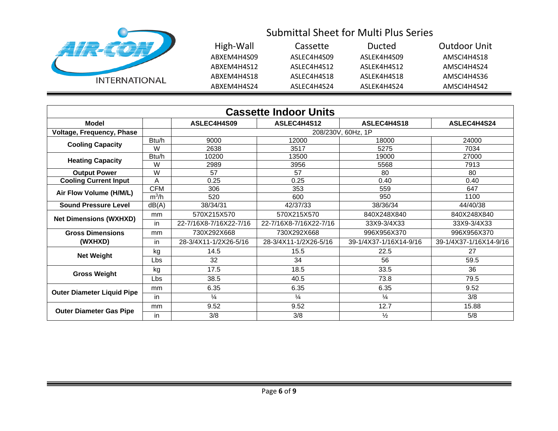

| High-Wall   | Cassette    | Ducted      | Outdoor Unit |
|-------------|-------------|-------------|--------------|
| ABXEM4H4S09 | ASLEC4H4S09 | ASLEK4H4S09 | AMSCI4H4S18  |
| ABXEM4H4S12 | ASLEC4H4S12 | ASLEK4H4S12 | AMSCI4H4S24  |
| ABXEM4H4S18 | ASLEC4H4S18 | ASLEK4H4S18 | AMSCI4H4S36  |
| ABXEM4H4S24 | ASLEC4H4S24 | ASLEK4H4S24 | AMSCI4H4S42  |

| <b>Cassette Indoor Units</b>      |            |                        |                        |                        |                        |
|-----------------------------------|------------|------------------------|------------------------|------------------------|------------------------|
| Model                             |            | ASLEC4H4S09            | ASLEC4H4S12            | ASLEC4H4S18            | ASLEC4H4S24            |
| <b>Voltage, Frequency, Phase</b>  |            |                        |                        | 208/230V, 60Hz, 1P     |                        |
| <b>Cooling Capacity</b>           | Btu/h      | 9000                   | 12000                  | 18000                  | 24000                  |
|                                   | W          | 2638                   | 3517                   | 5275                   | 7034                   |
| <b>Heating Capacity</b>           | Btu/h      | 10200                  | 13500                  | 19000                  | 27000                  |
|                                   | W          | 2989                   | 3956                   | 5568                   | 7913                   |
| <b>Output Power</b>               | W          | 57                     | 57                     | 80                     | 80                     |
| <b>Cooling Current Input</b>      | Α          | 0.25                   | 0.25                   | 0.40                   | 0.40                   |
| Air Flow Volume (H/M/L)           | <b>CFM</b> | 306                    | 353                    | 559                    | 647                    |
|                                   | $m^3/h$    | 520                    | 600                    | 950                    | 1100                   |
| <b>Sound Pressure Level</b>       | dB(A)      | 38/34/31               | 42/37/33               | 38/36/34               | 44/40/38               |
|                                   | mm         | 570X215X570            | 570X215X570            | 840X248X840            | 840X248X840            |
| <b>Net Dimensions (WXHXD)</b>     | in         | 22-7/16X8-7/16X22-7/16 | 22-7/16X8-7/16X22-7/16 | 33X9-3/4X33            | 33X9-3/4X33            |
| <b>Gross Dimensions</b>           | mm         | 730X292X668            | 730X292X668            | 996X956X370            | 996X956X370            |
| (WXHXD)                           | in         | 28-3/4X11-1/2X26-5/16  | 28-3/4X11-1/2X26-5/16  | 39-1/4X37-1/16X14-9/16 | 39-1/4X37-1/16X14-9/16 |
| <b>Net Weight</b>                 | kg         | 14.5                   | 15.5                   | 22.5                   | 27                     |
|                                   | Lbs        | 32                     | 34                     | 56                     | 59.5                   |
| <b>Gross Weight</b>               | kg         | 17.5                   | 18.5                   | 33.5                   | 36                     |
|                                   | Lbs        | 38.5                   | 40.5                   | 73.8                   | 79.5                   |
|                                   | mm         | 6.35                   | 6.35                   | 6.35                   | 9.52                   |
| <b>Outer Diameter Liquid Pipe</b> | in         | $\frac{1}{4}$          | $\frac{1}{4}$          | $\frac{1}{4}$          | 3/8                    |
| <b>Outer Diameter Gas Pipe</b>    | mm         | 9.52                   | 9.52                   | 12.7                   | 15.88                  |
| in                                |            | 3/8                    | 3/8                    | $\frac{1}{2}$          | 5/8                    |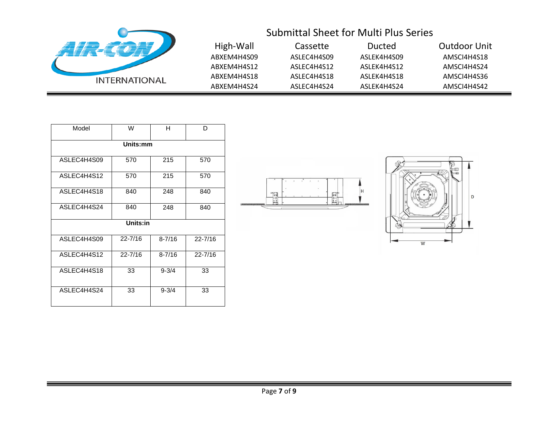

| High-Wall   | Cassette    | Ducted      | Outdoor Unit |
|-------------|-------------|-------------|--------------|
| ABXEM4H4S09 | ASLEC4H4S09 | ASLEK4H4S09 | AMSCI4H4S18  |
| ABXEM4H4S12 | ASLEC4H4S12 | ASLEK4H4S12 | AMSCI4H4S24  |
| ABXEM4H4S18 | ASLEC4H4S18 | ASLEK4H4S18 | AMSCI4H4S36  |
| ABXEM4H4S24 | ASLEC4H4S24 | ASLEK4H4S24 | AMSCI4H4S42  |

| Model       | W           | н          | D           |  |  |  |
|-------------|-------------|------------|-------------|--|--|--|
|             | Units:mm    |            |             |  |  |  |
| ASLEC4H4S09 | 570         | 215        | 570         |  |  |  |
| ASLEC4H4S12 | 570         | 215        | 570         |  |  |  |
| ASLEC4H4S18 | 840         | 248        | 840         |  |  |  |
| ASLEC4H4S24 | 840         | 248        | 840         |  |  |  |
|             | Units:in    |            |             |  |  |  |
| ASLEC4H4S09 | $22 - 7/16$ | $8 - 7/16$ | $22 - 7/16$ |  |  |  |
| ASLEC4H4S12 | $22 - 7/16$ | $8 - 7/16$ | $22 - 7/16$ |  |  |  |
| ASLEC4H4S18 | 33          | $9 - 3/4$  | 33          |  |  |  |
| ASLEC4H4S24 | 33          | $9 - 3/4$  | 33          |  |  |  |



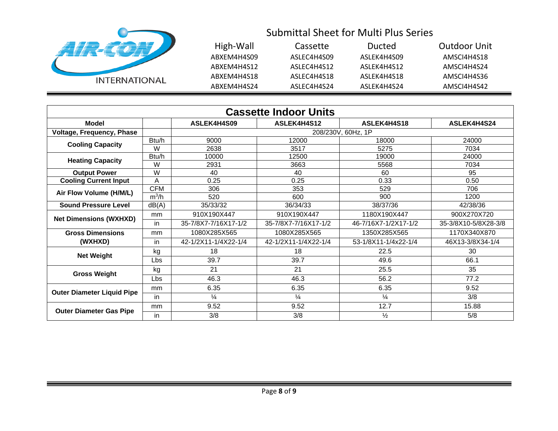

| High-Wall   | Cassette    | Ducted      | Outdoor Unit |
|-------------|-------------|-------------|--------------|
| ABXEM4H4S09 | ASLEC4H4S09 | ASLEK4H4S09 | AMSCI4H4S18  |
| ABXEM4H4S12 | ASLEC4H4S12 | ASLEK4H4S12 | AMSCI4H4S24  |
| ABXEM4H4S18 | ASLEC4H4S18 | ASLEK4H4S18 | AMSCI4H4S36  |
| ABXEM4H4S24 | ASLEC4H4S24 | ASLEK4H4S24 | AMSCI4H4S42  |

| <b>Cassette Indoor Units</b>      |            |                      |                      |                      |                      |
|-----------------------------------|------------|----------------------|----------------------|----------------------|----------------------|
| <b>Model</b>                      |            | ASLEK4H4S09          | ASLEK4H4S12          | ASLEK4H4S18          | ASLEK4H4S24          |
| Voltage, Frequency, Phase         |            |                      |                      | 208/230V, 60Hz, 1P   |                      |
| <b>Cooling Capacity</b>           | Btu/h      | 9000                 | 12000                | 18000                | 24000                |
|                                   | W          | 2638                 | 3517                 | 5275                 | 7034                 |
| <b>Heating Capacity</b>           | Btu/h      | 10000                | 12500                | 19000                | 24000                |
|                                   | W          | 2931                 | 3663                 | 5568                 | 7034                 |
| <b>Output Power</b>               | W          | 40                   | 40                   | 60                   | 95                   |
| <b>Cooling Current Input</b>      | A          | 0.25                 | 0.25                 | 0.33                 | 0.50                 |
| Air Flow Volume (H/M/L)           | <b>CFM</b> | 306                  | 353                  | 529                  | 706                  |
|                                   | $m^3/h$    | 520                  | 600                  | 900                  | 1200                 |
| <b>Sound Pressure Level</b>       | dB(A)      | 35/33/32             | 36/34/33             | 38/37/36             | 42/38/36             |
| <b>Net Dimensions (WXHXD)</b>     | mm         | 910X190X447          | 910X190X447          | 1180X190X447         | 900X270X720          |
|                                   | in         | 35-7/8X7-7/16X17-1/2 | 35-7/8X7-7/16X17-1/2 | 46-7/16X7-1/2X17-1/2 | 35-3/8X10-5/8X28-3/8 |
| <b>Gross Dimensions</b>           | mm         | 1080X285X565         | 1080X285X565         | 1350X285X565         | 1170X340X870         |
| (WXHXD)                           | in         | 42-1/2X11-1/4X22-1/4 | 42-1/2X11-1/4X22-1/4 | 53-1/8X11-1/4x22-1/4 | 46X13-3/8X34-1/4     |
| <b>Net Weight</b>                 | kg         | 18                   | 18                   | 22.5                 | 30                   |
|                                   | Lbs        | 39.7                 | 39.7                 | 49.6                 | 66.1                 |
| <b>Gross Weight</b>               | kg         | 21                   | 21                   | 25.5                 | 35                   |
|                                   | <b>Lbs</b> | 46.3                 | 46.3                 | 56.2                 | 77.2                 |
| <b>Outer Diameter Liquid Pipe</b> | mm         | 6.35                 | 6.35                 | 6.35                 | 9.52                 |
|                                   | in         | $\frac{1}{4}$        | $\frac{1}{4}$        | $\frac{1}{4}$        | 3/8                  |
| <b>Outer Diameter Gas Pipe</b>    | mm         | 9.52                 | 9.52                 | 12.7                 | 15.88                |
| in                                |            | 3/8                  | 3/8                  | $\frac{1}{2}$        | 5/8                  |